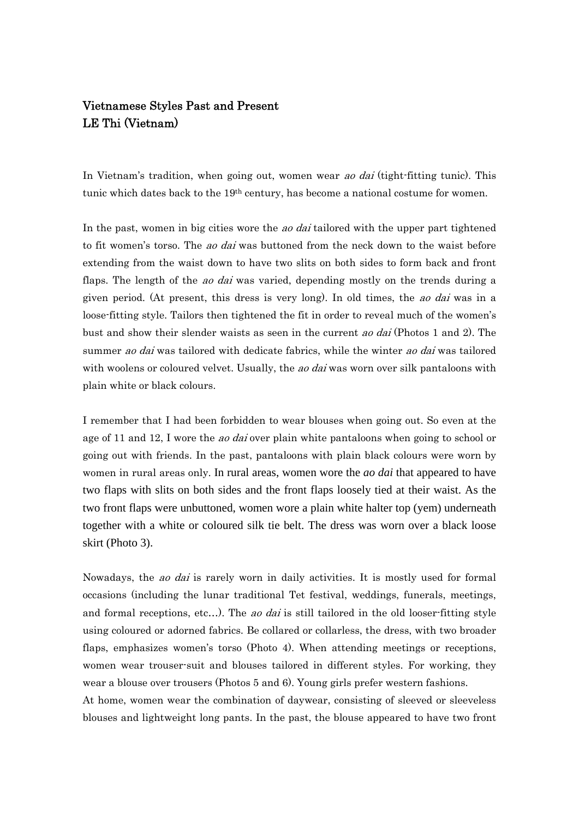## Vietnamese Styles Past and Present LE Thi (Vietnam)

In Vietnam's tradition, when going out, women wear *ao dai* (tight-fitting tunic). This tunic which dates back to the 19th century, has become a national costume for women.

In the past, women in big cities wore the *ao dai* tailored with the upper part tightened to fit women's torso. The *ao dai* was buttoned from the neck down to the waist before extending from the waist down to have two slits on both sides to form back and front flaps. The length of the *ao dai* was varied, depending mostly on the trends during a given period. (At present, this dress is very long). In old times, the ao dai was in a loose-fitting style. Tailors then tightened the fit in order to reveal much of the women's bust and show their slender waists as seen in the current ao dai (Photos 1 and 2). The summer *ao dai* was tailored with dedicate fabrics, while the winter *ao dai* was tailored with woolens or coloured velvet. Usually, the *ao dai* was worn over silk pantaloons with plain white or black colours.

I remember that I had been forbidden to wear blouses when going out. So even at the age of 11 and 12, I wore the *ao dai* over plain white pantaloons when going to school or going out with friends. In the past, pantaloons with plain black colours were worn by women in rural areas only. In rural areas, women wore the *ao dai* that appeared to have two flaps with slits on both sides and the front flaps loosely tied at their waist. As the two front flaps were unbuttoned, women wore a plain white halter top (yem) underneath together with a white or coloured silk tie belt. The dress was worn over a black loose skirt (Photo 3).

Nowadays, the *ao dai* is rarely worn in daily activities. It is mostly used for formal occasions (including the lunar traditional Tet festival, weddings, funerals, meetings, and formal receptions, etc...). The *ao dai* is still tailored in the old looser-fitting style using coloured or adorned fabrics. Be collared or collarless, the dress, with two broader flaps, emphasizes women's torso (Photo 4). When attending meetings or receptions, women wear trouser-suit and blouses tailored in different styles. For working, they wear a blouse over trousers (Photos 5 and 6). Young girls prefer western fashions.

At home, women wear the combination of daywear, consisting of sleeved or sleeveless blouses and lightweight long pants. In the past, the blouse appeared to have two front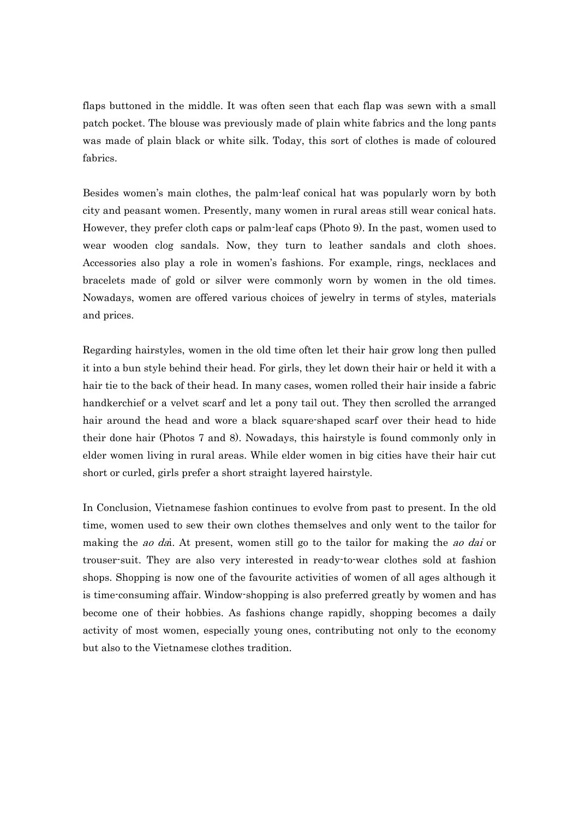flaps buttoned in the middle. It was often seen that each flap was sewn with a small patch pocket. The blouse was previously made of plain white fabrics and the long pants was made of plain black or white silk. Today, this sort of clothes is made of coloured fabrics.

Besides women's main clothes, the palm-leaf conical hat was popularly worn by both city and peasant women. Presently, many women in rural areas still wear conical hats. However, they prefer cloth caps or palm-leaf caps (Photo 9). In the past, women used to wear wooden clog sandals. Now, they turn to leather sandals and cloth shoes. Accessories also play a role in women's fashions. For example, rings, necklaces and bracelets made of gold or silver were commonly worn by women in the old times. Nowadays, women are offered various choices of jewelry in terms of styles, materials and prices.

Regarding hairstyles, women in the old time often let their hair grow long then pulled it into a bun style behind their head. For girls, they let down their hair or held it with a hair tie to the back of their head. In many cases, women rolled their hair inside a fabric handkerchief or a velvet scarf and let a pony tail out. They then scrolled the arranged hair around the head and wore a black square-shaped scarf over their head to hide their done hair (Photos 7 and 8). Nowadays, this hairstyle is found commonly only in elder women living in rural areas. While elder women in big cities have their hair cut short or curled, girls prefer a short straight layered hairstyle.

In Conclusion, Vietnamese fashion continues to evolve from past to present. In the old time, women used to sew their own clothes themselves and only went to the tailor for making the *ao dai*. At present, women still go to the tailor for making the *ao dai* or trouser-suit. They are also very interested in ready-to-wear clothes sold at fashion shops. Shopping is now one of the favourite activities of women of all ages although it is time-consuming affair. Window-shopping is also preferred greatly by women and has become one of their hobbies. As fashions change rapidly, shopping becomes a daily activity of most women, especially young ones, contributing not only to the economy but also to the Vietnamese clothes tradition.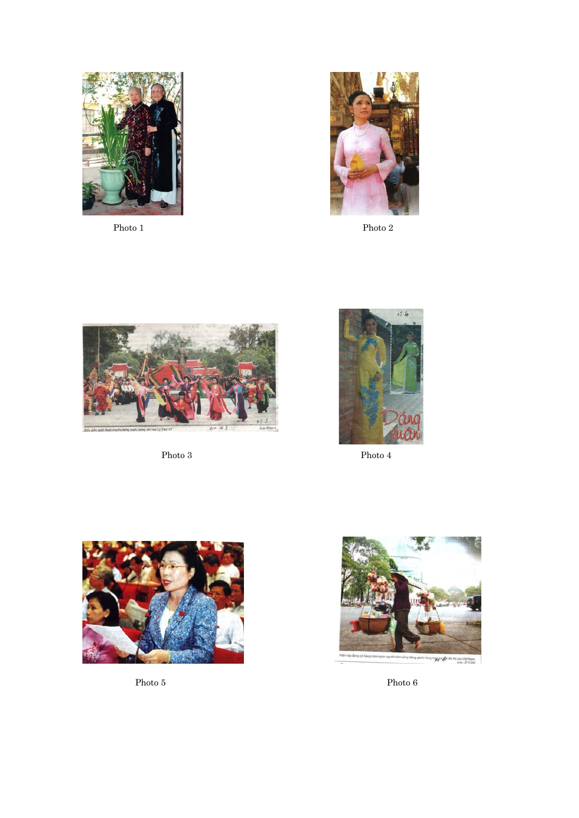



Photo 1 Photo 2



Photo 3 Photo 4





Photo 5 Photo 6